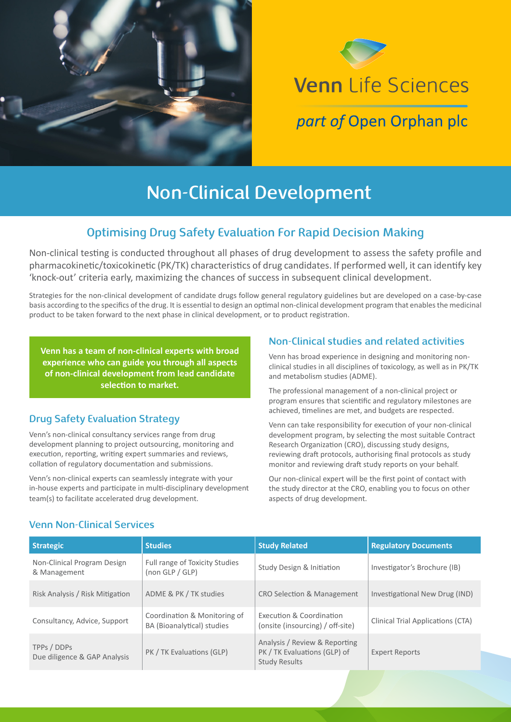



# **Non-Clinical Development**

## **Optimising Drug Safety Evaluation For Rapid Decision Making**

Non-clinical testing is conducted throughout all phases of drug development to assess the safety profile and pharmacokinetic/toxicokinetic (PK/TK) characteristics of drug candidates. If performed well, it can identify key 'knock-out' criteria early, maximizing the chances of success in subsequent clinical development.

Strategies for the non-clinical development of candidate drugs follow general regulatory guidelines but are developed on a case-by-case basis according to the specifics of the drug. It is essential to design an optimal non-clinical development program that enables the medicinal product to be taken forward to the next phase in clinical development, or to product registration.

**Venn has a team of non-clinical experts with broad experience who can guide you through all aspects of non-clinical development from lead candidate selection to market.**

### **Drug Safety Evaluation Strategy**

Venn's non-clinical consultancy services range from drug development planning to project outsourcing, monitoring and execution, reporting, writing expert summaries and reviews, collation of regulatory documentation and submissions.

Venn's non-clinical experts can seamlessly integrate with your in-house experts and participate in multi-disciplinary development team(s) to facilitate accelerated drug development.

### **Non-Clinical studies and related activities**

Venn has broad experience in designing and monitoring nonclinical studies in all disciplines of toxicology, as well as in PK/TK and metabolism studies (ADME).

The professional management of a non-clinical project or program ensures that scientific and regulatory milestones are achieved, timelines are met, and budgets are respected.

Venn can take responsibility for execution of your non-clinical development program, by selecting the most suitable Contract Research Organization (CRO), discussing study designs, reviewing draft protocols, authorising final protocols as study monitor and reviewing draft study reports on your behalf.

Our non-clinical expert will be the first point of contact with the study director at the CRO, enabling you to focus on other aspects of drug development.

### **Venn Non-Clinical Services**

| <b>Strategic</b>                            | <b>Studies</b>                                             | <b>Study Related</b>                                                                  | <b>Regulatory Documents</b>       |
|---------------------------------------------|------------------------------------------------------------|---------------------------------------------------------------------------------------|-----------------------------------|
| Non-Clinical Program Design<br>& Management | Full range of Toxicity Studies<br>(non GLP / GLP)          | Study Design & Initiation                                                             | Investigator's Brochure (IB)      |
| Risk Analysis / Risk Mitigation             | ADME & PK / TK studies                                     | <b>CRO Selection &amp; Management</b>                                                 | Investigational New Drug (IND)    |
| Consultancy, Advice, Support                | Coordination & Monitoring of<br>BA (Bioanalytical) studies | Execution & Coordination<br>(onsite (insourcing) / off-site)                          | Clinical Trial Applications (CTA) |
| TPPs / DDPs<br>Due diligence & GAP Analysis | PK / TK Evaluations (GLP)                                  | Analysis / Review & Reporting<br>PK / TK Evaluations (GLP) of<br><b>Study Results</b> | <b>Expert Reports</b>             |